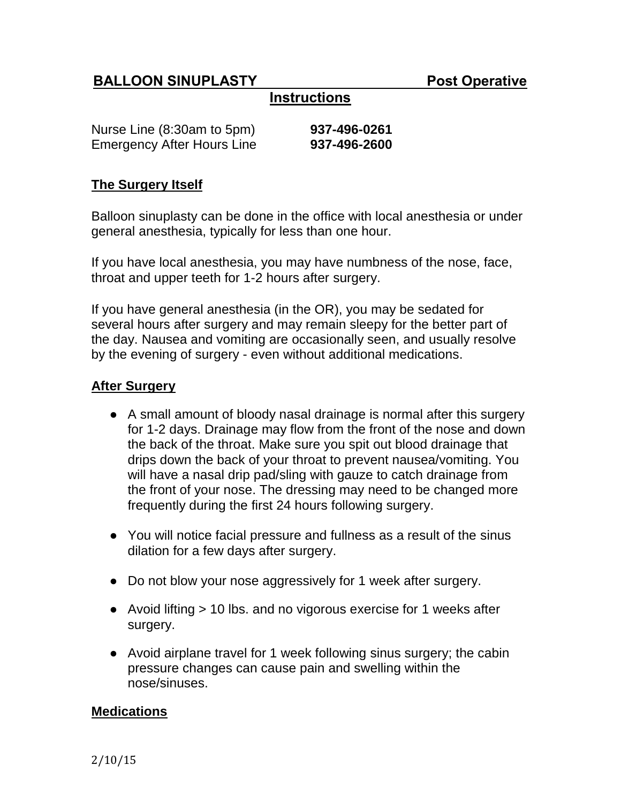# **BALLOON SINUPLASTY** Post Operative

# **Instructions**

| Nurse Line (8:30am to 5pm)        | 937-496-0261 |
|-----------------------------------|--------------|
| <b>Emergency After Hours Line</b> | 937-496-2600 |

#### **The Surgery Itself**

Balloon sinuplasty can be done in the office with local anesthesia or under general anesthesia, typically for less than one hour.

If you have local anesthesia, you may have numbness of the nose, face, throat and upper teeth for 1-2 hours after surgery.

If you have general anesthesia (in the OR), you may be sedated for several hours after surgery and may remain sleepy for the better part of the day. Nausea and vomiting are occasionally seen, and usually resolve by the evening of surgery - even without additional medications.

## **After Surgery**

- A small amount of bloody nasal drainage is normal after this surgery for 1-2 days. Drainage may flow from the front of the nose and down the back of the throat. Make sure you spit out blood drainage that drips down the back of your throat to prevent nausea/vomiting. You will have a nasal drip pad/sling with gauze to catch drainage from the front of your nose. The dressing may need to be changed more frequently during the first 24 hours following surgery.
- You will notice facial pressure and fullness as a result of the sinus dilation for a few days after surgery.
- Do not blow your nose aggressively for 1 week after surgery.
- Avoid lifting > 10 lbs. and no vigorous exercise for 1 weeks after surgery.
- Avoid airplane travel for 1 week following sinus surgery; the cabin pressure changes can cause pain and swelling within the nose/sinuses.

## **Medications**